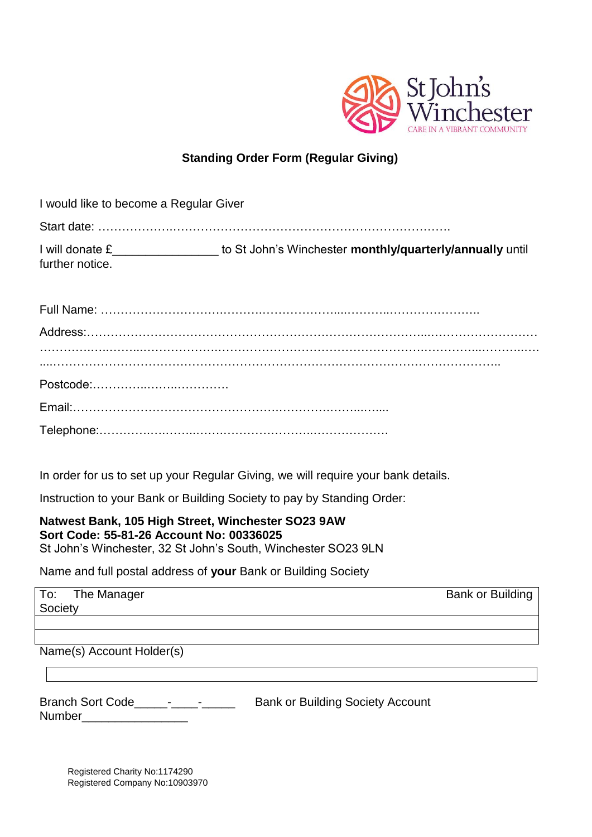

## **Standing Order Form (Regular Giving)**

| I would like to become a Regular Giver |                                                          |
|----------------------------------------|----------------------------------------------------------|
|                                        |                                                          |
| I will donate £<br>further notice.     | to St John's Winchester monthly/quarterly/annually until |

In order for us to set up your Regular Giving, we will require your bank details.

Instruction to your Bank or Building Society to pay by Standing Order:

## **Natwest Bank, 105 High Street, Winchester SO23 9AW Sort Code: 55-81-26 Account No: 00336025** St John's Winchester, 32 St John's South, Winchester SO23 9LN

Name and full postal address of **your** Bank or Building Society

To: The Manager Bank or Building Society

Name(s) Account Holder(s)

| <b>Branch Sort Code</b> | <b>Bank or Building Society Account</b> |
|-------------------------|-----------------------------------------|
| <b>Number</b>           |                                         |

Registered Charity No:1174290 Registered Company No:10903970